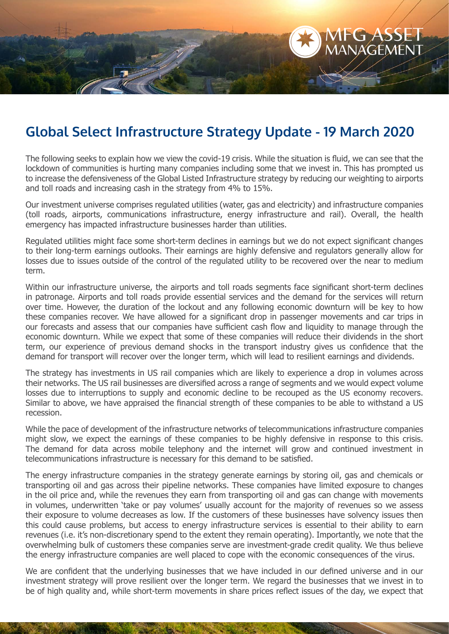

## **Global Select Infrastructure Strategy Update - 19 March 2020**

The following seeks to explain how we view the covid-19 crisis. While the situation is fluid, we can see that the lockdown of communities is hurting many companies including some that we invest in. This has prompted us to increase the defensiveness of the Global Listed Infrastructure strategy by reducing our weighting to airports and toll roads and increasing cash in the strategy from 4% to 15%.

Our investment universe comprises regulated utilities (water, gas and electricity) and infrastructure companies (toll roads, airports, communications infrastructure, energy infrastructure and rail). Overall, the health emergency has impacted infrastructure businesses harder than utilities.

Regulated utilities might face some short-term declines in earnings but we do not expect significant changes to their long-term earnings outlooks. Their earnings are highly defensive and regulators generally allow for losses due to issues outside of the control of the regulated utility to be recovered over the near to medium term.

Within our infrastructure universe, the airports and toll roads segments face significant short-term declines in patronage. Airports and toll roads provide essential services and the demand for the services will return over time. However, the duration of the lockout and any following economic downturn will be key to how these companies recover. We have allowed for a significant drop in passenger movements and car trips in our forecasts and assess that our companies have sufficient cash flow and liquidity to manage through the economic downturn. While we expect that some of these companies will reduce their dividends in the short term, our experience of previous demand shocks in the transport industry gives us confidence that the demand for transport will recover over the longer term, which will lead to resilient earnings and dividends.

The strategy has investments in US rail companies which are likely to experience a drop in volumes across their networks. The US rail businesses are diversified across a range of segments and we would expect volume losses due to interruptions to supply and economic decline to be recouped as the US economy recovers. Similar to above, we have appraised the financial strength of these companies to be able to withstand a US recession.

While the pace of development of the infrastructure networks of telecommunications infrastructure companies might slow, we expect the earnings of these companies to be highly defensive in response to this crisis. The demand for data across mobile telephony and the internet will grow and continued investment in telecommunications infrastructure is necessary for this demand to be satisfied.

The energy infrastructure companies in the strategy generate earnings by storing oil, gas and chemicals or transporting oil and gas across their pipeline networks. These companies have limited exposure to changes in the oil price and, while the revenues they earn from transporting oil and gas can change with movements in volumes, underwritten 'take or pay volumes' usually account for the majority of revenues so we assess their exposure to volume decreases as low. If the customers of these businesses have solvency issues then this could cause problems, but access to energy infrastructure services is essential to their ability to earn revenues (i.e. it's non-discretionary spend to the extent they remain operating). Importantly, we note that the overwhelming bulk of customers these companies serve are investment-grade credit quality. We thus believe the energy infrastructure companies are well placed to cope with the economic consequences of the virus.

We are confident that the underlying businesses that we have included in our defined universe and in our investment strategy will prove resilient over the longer term. We regard the businesses that we invest in to be of high quality and, while short-term movements in share prices reflect issues of the day, we expect that